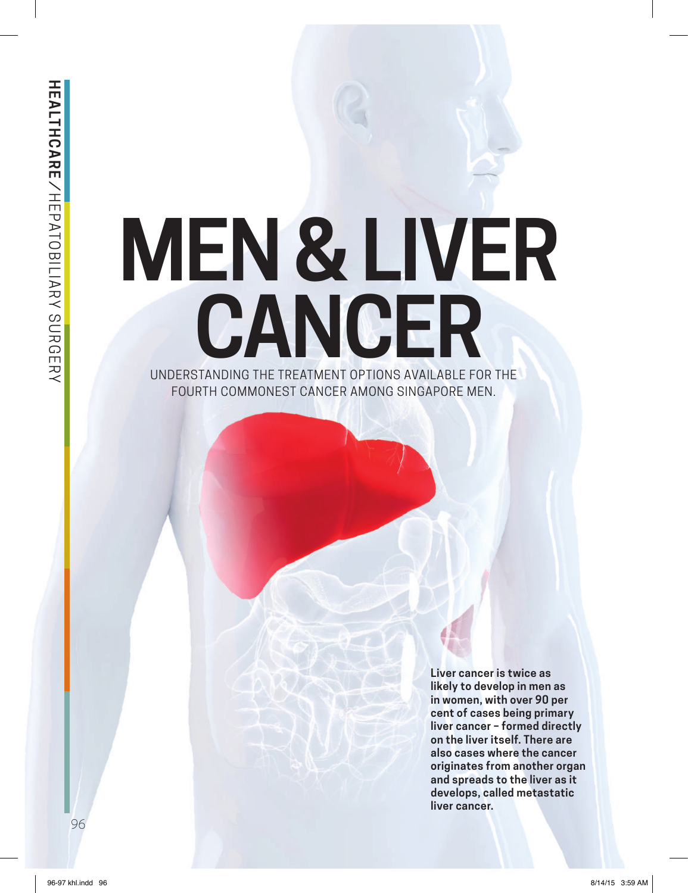# **MEN & LIVER**  UNDERSTANDING THE TREATMENT OPTIONS AVAILABLE FOR THE **CANCER** FOURTH COMMONEST CANCER AMONG SINGAPORE MEN.

**Liver cancer is twice as likely to develop in men as in women, with over 90 per cent of cases being primary liver cancer – formed directly on the liver itself. There are also cases where the cancer originates from another organ and spreads to the liver as it develops, called metastatic liver cancer.**